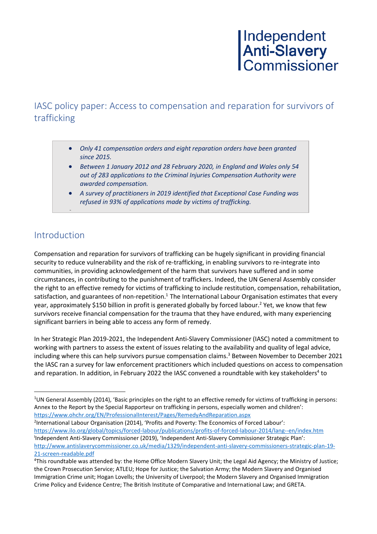### IASC policy paper: Access to compensation and reparation for survivors of trafficking

- *Only 41 compensation orders and eight reparation orders have been granted since 2015.*
- *Between 1 January 2012 and 28 February 2020, in England and Wales only 54 out of 283 applications to the Criminal Injuries Compensation Authority were awarded compensation.*
- *A survey of practitioners in 2019 identified that Exceptional Case Funding was refused in 93% of applications made by victims of trafficking.*

### Introduction

•

Compensation and reparation for survivors of trafficking can be hugely significant in providing financial security to reduce vulnerability and the risk of re-trafficking, in enabling survivors to re-integrate into communities, in providing acknowledgement of the harm that survivors have suffered and in some circumstances, in contributing to the punishment of traffickers. Indeed, the UN General Assembly consider the right to an effective remedy for victims of trafficking to include restitution, compensation, rehabilitation, satisfaction, and guarantees of non-repetition.<sup>1</sup> The International Labour Organisation estimates that every year, approximately \$150 billion in profit is generated globally by forced labour. <sup>2</sup> Yet, we know that few survivors receive financial compensation for the trauma that they have endured, with many experiencing significant barriers in being able to access any form of remedy.

In her Strategic Plan 2019-2021, the Independent Anti-Slavery Commissioner (IASC) noted a commitment to working with partners to assess the extent of issues relating to the availability and quality of legal advice, including where this can help survivors pursue compensation claims. <sup>3</sup> Between November to December 2021 the IASC ran a survey for law enforcement practitioners which included questions on access to compensation and reparation. In addition, in February 2022 the IASC convened a roundtable with key stakeholders<sup>4</sup> to

2 International Labour Organisation (2014), 'Profits and Poverty: The Economics of Forced Labour': <https://www.ilo.org/global/topics/forced-labour/publications/profits-of-forced-labour-2014/lang--en/index.htm> I Independent Anti-Slavery Commissioner (2019), 'Independent Anti-Slavery Commissioner Strategic Plan': [http://www.antislaverycommissioner.co.uk/media/1329/independent-anti-slavery-commissioners-strategic-plan-19-](http://www.antislaverycommissioner.co.uk/media/1329/independent-anti-slavery-commissioners-strategic-plan-19-21-screen-readable.pdf) [21-screen-readable.pdf](http://www.antislaverycommissioner.co.uk/media/1329/independent-anti-slavery-commissioners-strategic-plan-19-21-screen-readable.pdf)

<sup>&</sup>lt;sup>1</sup>UN General Assembly (2014), 'Basic principles on the right to an effective remedy for victims of trafficking in persons: Annex to the Report by the Special Rapporteur on trafficking in persons, especially women and children': <https://www.ohchr.org/EN/ProfessionalInterest/Pages/RemedyAndReparation.aspx>

<sup>4</sup>This roundtable was attended by: the Home Office Modern Slavery Unit; the Legal Aid Agency; the Ministry of Justice; the Crown Prosecution Service; ATLEU; Hope for Justice; the Salvation Army; the Modern Slavery and Organised Immigration Crime unit; Hogan Lovells; the University of Liverpool; the Modern Slavery and Organised Immigration Crime Policy and Evidence Centre; The British Institute of Comparative and International Law; and GRETA.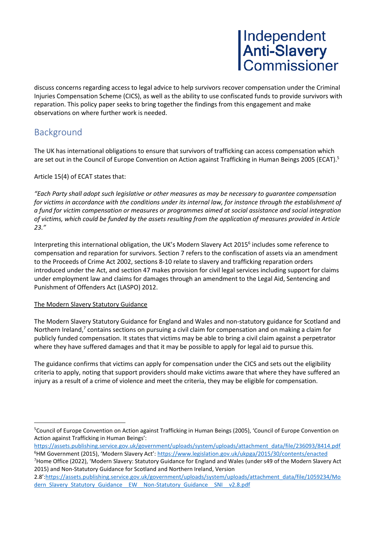discuss concerns regarding access to legal advice to help survivors recover compensation under the Criminal Injuries Compensation Scheme (CICS), as well as the ability to use confiscated funds to provide survivors with reparation. This policy paper seeks to bring together the findings from this engagement and make observations on where further work is needed.

### **Background**

The UK has international obligations to ensure that survivors of trafficking can access compensation which are set out in the Council of Europe Convention on Action against Trafficking in Human Beings 2005 (ECAT). 5

### Article 15(4) of ECAT states that:

*"Each Party shall adopt such legislative or other measures as may be necessary to guarantee compensation*  for victims in accordance with the conditions under its internal law, for instance through the establishment of *a fund for victim compensation or measures or programmes aimed at social assistance and social integration of victims, which could be funded by the assets resulting from the application of measures provided in Article 23."*

Interpreting this international obligation, the UK's Modern Slavery Act 2015<sup>6</sup> includes some reference to compensation and reparation for survivors. Section 7 refers to the confiscation of assets via an amendment to the Proceeds of Crime Act 2002, sections 8-10 relate to slavery and trafficking reparation orders introduced under the Act, and section 47 makes provision for civil legal services including support for claims under employment law and claims for damages through an amendment to the Legal Aid, Sentencing and Punishment of Offenders Act (LASPO) 2012.

#### The Modern Slavery Statutory Guidance

The Modern Slavery Statutory Guidance for England and Wales and non-statutory guidance for Scotland and Northern Ireland,<sup>7</sup> contains sections on pursuing a civil claim for compensation and on making a claim for publicly funded compensation. It states that victims may be able to bring a civil claim against a perpetrator where they have suffered damages and that it may be possible to apply for legal aid to pursue this.

The guidance confirms that victims can apply for compensation under the CICS and sets out the eligibility criteria to apply, noting that support providers should make victims aware that where they have suffered an injury as a result of a crime of violence and meet the criteria, they may be eligible for compensation.

<sup>5</sup>Council of Europe Convention on Action against Trafficking in Human Beings (2005), 'Council of Europe Convention on Action against Trafficking in Human Beings':

[https://assets.publishing.service.gov.uk/government/uploads/system/uploads/attachment\\_data/file/236093/8414.pdf](https://assets.publishing.service.gov.uk/government/uploads/system/uploads/attachment_data/file/236093/8414.pdf) <sup>6</sup>HM Government (2015), 'Modern Slavery Act': <https://www.legislation.gov.uk/ukpga/2015/30/contents/enacted>

<sup>7</sup>Home Office (2022), 'Modern Slavery: Statutory Guidance for England and Wales (under s49 of the Modern Slavery Act 2015) and Non-Statutory Guidance for Scotland and Northern Ireland, Version

<sup>2.8&#</sup>x27;:[https://assets.publishing.service.gov.uk/government/uploads/system/uploads/attachment\\_data/file/1059234/Mo](https://assets.publishing.service.gov.uk/government/uploads/system/uploads/attachment_data/file/1059234/Modern_Slavery_Statutory_Guidance__EW__Non-Statutory_Guidance__SNI__v2.8.pdf) [dern\\_Slavery\\_Statutory\\_Guidance\\_\\_EW\\_\\_Non-Statutory\\_Guidance\\_\\_SNI\\_\\_v2.8.pdf](https://assets.publishing.service.gov.uk/government/uploads/system/uploads/attachment_data/file/1059234/Modern_Slavery_Statutory_Guidance__EW__Non-Statutory_Guidance__SNI__v2.8.pdf)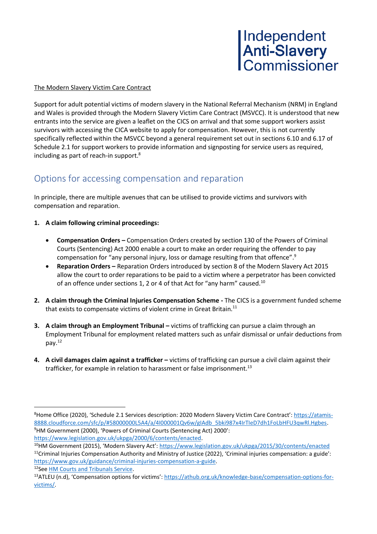

#### The Modern Slavery Victim Care Contract

Support for adult potential victims of modern slavery in the National Referral Mechanism (NRM) in England and Wales is provided through the Modern Slavery Victim Care Contract (MSVCC). It is understood that new entrants into the service are given a leaflet on the CICS on arrival and that some support workers assist survivors with accessing the CICA website to apply for compensation. However, this is not currently specifically reflected within the MSVCC beyond a general requirement set out in sections 6.10 and 6.17 of Schedule 2.1 for support workers to provide information and signposting for service users as required, including as part of reach-in support.<sup>8</sup>

### Options for accessing compensation and reparation

In principle, there are multiple avenues that can be utilised to provide victims and survivors with compensation and reparation.

- **1. A claim following criminal proceedings:**
	- **Compensation Orders –** Compensation Orders created by section 130 of the Powers of Criminal Courts (Sentencing) Act 2000 enable a court to make an order requiring the offender to pay compensation for "any personal injury, loss or damage resulting from that offence".<sup>9</sup>
	- **Reparation Orders –** Reparation Orders introduced by section 8 of the Modern Slavery Act 2015 allow the court to order reparations to be paid to a victim where a perpetrator has been convicted of an offence under sections 1, 2 or 4 of that Act for "any harm" caused.<sup>10</sup>
- **2. A claim through the Criminal Injuries Compensation Scheme -** The CICS is a government funded scheme that exists to compensate victims of violent crime in Great Britain.<sup>11</sup>
- **3. A claim through an Employment Tribunal –** victims of trafficking can pursue a claim through an Employment Tribunal for employment related matters such as unfair dismissal or unfair deductions from pay.<sup>12</sup>
- **4. A civil damages claim against a trafficker –** victims of trafficking can pursue a civil claim against their trafficker, for example in relation to harassment or false imprisonment.<sup>13</sup>

12See [HM Courts and Tribunals Service.](https://www.gov.uk/courts-tribunals/employment-tribunal)

<sup>8</sup>Home Office (2020), 'Schedule 2.1 Services description: 2020 Modern Slavery Victim Care Contract': [https://atamis-](https://atamis-8888.cloudforce.com/sfc/p/#58000000L5A4/a/4I000001Qv6w/gIAdb_5bki987x4IrTIeD7dh1FoLbHFU3qwRl.Hgbes)[8888.cloudforce.com/sfc/p/#58000000L5A4/a/4I000001Qv6w/gIAdb\\_5bki987x4IrTIeD7dh1FoLbHFU3qwRl.Hgbes.](https://atamis-8888.cloudforce.com/sfc/p/#58000000L5A4/a/4I000001Qv6w/gIAdb_5bki987x4IrTIeD7dh1FoLbHFU3qwRl.Hgbes) <sup>9</sup>HM Government (2000), 'Powers of Criminal Courts (Sentencing Act) 2000': [https://www.legislation.gov.uk/ukpga/2000/6/contents/enacted.](https://www.legislation.gov.uk/ukpga/2000/6/contents/enacted)

<sup>10</sup>HM Government (2015), 'Modern Slavery Act': <https://www.legislation.gov.uk/ukpga/2015/30/contents/enacted> <sup>11</sup>Criminal Injuries Compensation Authority and Ministry of Justice (2022), 'Criminal injuries compensation: a guide': [https://www.gov.uk/guidance/criminal-injuries-compensation-a-guide.](https://www.gov.uk/guidance/criminal-injuries-compensation-a-guide)

<sup>&</sup>lt;sup>13</sup>ATLEU (n.d), 'Compensation options for victims': [https://athub.org.uk/knowledge-base/compensation-options-for](https://athub.org.uk/knowledge-base/compensation-options-for-victims/)[victims/.](https://athub.org.uk/knowledge-base/compensation-options-for-victims/)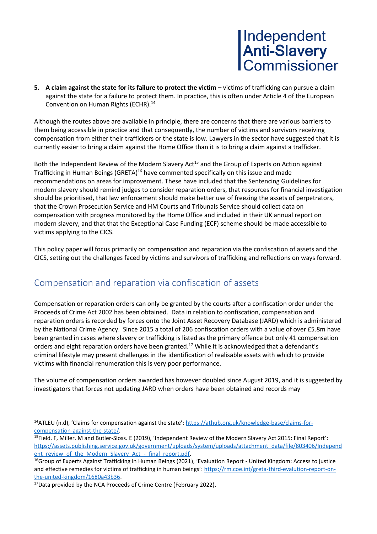**5.** A claim against the state for its failure to protect the victim – victims of trafficking can pursue a claim against the state for a failure to protect them. In practice, this is often under Article 4 of the European Convention on Human Rights (ECHR).<sup>14</sup>

Although the routes above are available in principle, there are concerns that there are various barriers to them being accessible in practice and that consequently, the number of victims and survivors receiving compensation from either their traffickers or the state is low. Lawyers in the sector have suggested that it is currently easier to bring a claim against the Home Office than it is to bring a claim against a trafficker.

Both the Independent Review of the Modern Slavery Act<sup>15</sup> and the Group of Experts on Action against Trafficking in Human Beings (GRETA)<sup>16</sup> have commented specifically on this issue and made recommendations on areas for improvement. These have included that the Sentencing Guidelines for modern slavery should remind judges to consider reparation orders, that resources for financial investigation should be prioritised, that law enforcement should make better use of freezing the assets of perpetrators, that the Crown Prosecution Service and HM Courts and Tribunals Service should collect data on compensation with progress monitored by the Home Office and included in their UK annual report on modern slavery, and that that the Exceptional Case Funding (ECF) scheme should be made accessible to victims applying to the CICS.

This policy paper will focus primarily on compensation and reparation via the confiscation of assets and the CICS, setting out the challenges faced by victims and survivors of trafficking and reflections on ways forward.

### Compensation and reparation via confiscation of assets

Compensation or reparation orders can only be granted by the courts after a confiscation order under the Proceeds of Crime Act 2002 has been obtained. Data in relation to confiscation, compensation and reparation orders is recorded by forces onto the Joint Asset Recovery Database (JARD) which is administered by the National Crime Agency. Since 2015 a total of 206 confiscation orders with a value of over £5.8m have been granted in cases where slavery or trafficking is listed as the primary offence but only 41 compensation orders and eight reparation orders have been granted.<sup>17</sup> While it is acknowledged that a defendant's criminal lifestyle may present challenges in the identification of realisable assets with which to provide victims with financial renumeration this is very poor performance.

The volume of compensation orders awarded has however doubled since August 2019, and it is suggested by investigators that forces not updating JARD when orders have been obtained and records may

<sup>&</sup>lt;sup>14</sup>ATLEU (n.d), 'Claims for compensation against the state': [https://athub.org.uk/knowledge-base/claims-for](https://athub.org.uk/knowledge-base/claims-for-compensation-against-the-state/)[compensation-against-the-state/.](https://athub.org.uk/knowledge-base/claims-for-compensation-against-the-state/)

<sup>15</sup>Field. F, Miller. M and Butler-Sloss. E (2019), 'Independent Review of the Modern Slavery Act 2015: Final Report': [https://assets.publishing.service.gov.uk/government/uploads/system/uploads/attachment\\_data/file/803406/Independ](https://assets.publishing.service.gov.uk/government/uploads/system/uploads/attachment_data/file/803406/Independent_review_of_the_Modern_Slavery_Act_-_final_report.pdf) ent review of the Modern Slavery Act - final report.pdf.

<sup>&</sup>lt;sup>16</sup>Group of Experts Against Trafficking in Human Beings (2021), 'Evaluation Report - United Kingdom: Access to justice and effective remedies for victims of trafficking in human beings'[: https://rm.coe.int/greta-third-evalution-report-on](https://rm.coe.int/greta-third-evalution-report-on-the-united-kingdom/1680a43b36)[the-united-kingdom/1680a43b36.](https://rm.coe.int/greta-third-evalution-report-on-the-united-kingdom/1680a43b36)

<sup>&</sup>lt;sup>17</sup>Data provided by the NCA Proceeds of Crime Centre (February 2022).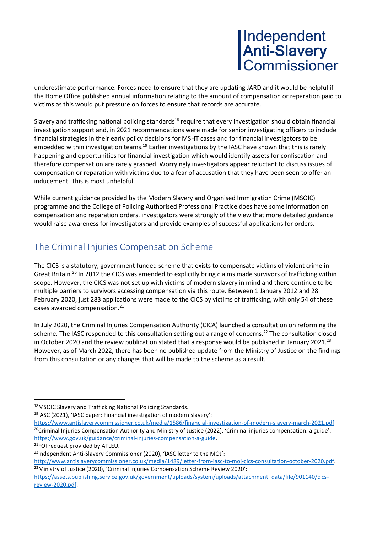underestimate performance. Forces need to ensure that they are updating JARD and it would be helpful if the Home Office published annual information relating to the amount of compensation or reparation paid to victims as this would put pressure on forces to ensure that records are accurate.

Slavery and trafficking national policing standards<sup>18</sup> require that every investigation should obtain financial investigation support and, in 2021 recommendations were made for senior investigating officers to include financial strategies in their early policy decisions for MSHT cases and for financial investigators to be embedded within investigation teams.<sup>19</sup> Earlier investigations by the IASC have shown that this is rarely happening and opportunities for financial investigation which would identify assets for confiscation and therefore compensation are rarely grasped. Worryingly investigators appear reluctant to discuss issues of compensation or reparation with victims due to a fear of accusation that they have been seen to offer an inducement. This is most unhelpful.

While current guidance provided by the Modern Slavery and Organised Immigration Crime (MSOIC) programme and the College of Policing Authorised Professional Practice does have some information on compensation and reparation orders, investigators were strongly of the view that more detailed guidance would raise awareness for investigators and provide examples of successful applications for orders.

## The Criminal Injuries Compensation Scheme

The CICS is a statutory, government funded scheme that exists to compensate victims of violent crime in Great Britain.<sup>20</sup> In 2012 the CICS was amended to explicitly bring claims made survivors of trafficking within scope. However, the CICS was not set up with victims of modern slavery in mind and there continue to be multiple barriers to survivors accessing compensation via this route. Between 1 January 2012 and 28 February 2020, just 283 applications were made to the CICS by victims of trafficking, with only 54 of these cases awarded compensation.<sup>21</sup>

In July 2020, the Criminal Injuries Compensation Authority (CICA) launched a consultation on reforming the scheme. The IASC responded to this consultation setting out a range of concerns.<sup>22</sup> The consultation closed in October 2020 and the review publication stated that a response would be published in January 2021.<sup>23</sup> However, as of March 2022, there has been no published update from the Ministry of Justice on the findings from this consultation or any changes that will be made to the scheme as a result.

<sup>18</sup>MSOIC Slavery and Trafficking National Policing Standards.

<sup>19</sup>IASC (2021), 'IASC paper: Financial investigation of modern slavery':

[https://www.antislaverycommissioner.co.uk/media/1586/financial-investigation-of-modern-slavery-march-2021.pdf.](https://www.antislaverycommissioner.co.uk/media/1586/financial-investigation-of-modern-slavery-march-2021.pdf) <sup>20</sup>Criminal Injuries Compensation Authority and Ministry of Justice (2022), 'Criminal injuries compensation: a guide': [https://www.gov.uk/guidance/criminal-injuries-compensation-a-guide.](https://www.gov.uk/guidance/criminal-injuries-compensation-a-guide)

<sup>&</sup>lt;sup>21</sup>FOI request provided by ATLEU.

<sup>22</sup>Independent Anti-Slavery Commissioner (2020), 'IASC letter to the MOJ':

[http://www.antislaverycommissioner.co.uk/media/1489/letter-from-iasc-to-moj-cics-consultation-october-2020.pdf.](http://www.antislaverycommissioner.co.uk/media/1489/letter-from-iasc-to-moj-cics-consultation-october-2020.pdf) <sup>23</sup>Ministry of Justice (2020), 'Criminal Injuries Compensation Scheme Review 2020':

[https://assets.publishing.service.gov.uk/government/uploads/system/uploads/attachment\\_data/file/901140/cics](https://assets.publishing.service.gov.uk/government/uploads/system/uploads/attachment_data/file/901140/cics-review-2020.pdf)[review-2020.pdf.](https://assets.publishing.service.gov.uk/government/uploads/system/uploads/attachment_data/file/901140/cics-review-2020.pdf)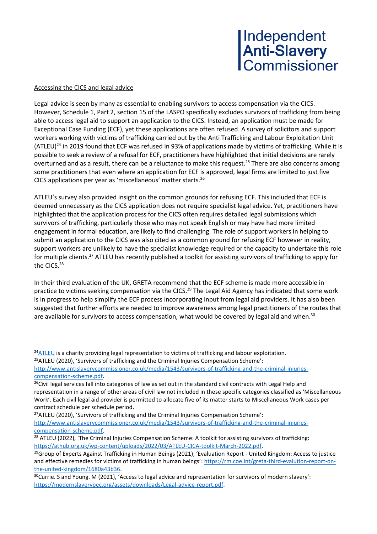#### Accessing the CICS and legal advice

Legal advice is seen by many as essential to enabling survivors to access compensation via the CICS. However, Schedule 1, Part 2, section 15 of the LASPO specifically excludes survivors of trafficking from being able to access legal aid to support an application to the CICS. Instead, an application must be made for Exceptional Case Funding (ECF), yet these applications are often refused. A survey of solicitors and support workers working with victims of trafficking carried out by the Anti Trafficking and Labour Exploitation Unit  $(ATEU)^{24}$  in 2019 found that ECF was refused in 93% of applications made by victims of trafficking. While it is possible to seek a review of a refusal for ECF, practitioners have highlighted that initial decisions are rarely overturned and as a result, there can be a reluctance to make this request.<sup>25</sup> There are also concerns among some practitioners that even where an application for ECF is approved, legal firms are limited to just five CICS applications per year as 'miscellaneous' matter starts.<sup>26</sup>

ATLEU's survey also provided insight on the common grounds for refusing ECF. This included that ECF is deemed unnecessary as the CICS application does not require specialist legal advice. Yet, practitioners have highlighted that the application process for the CICS often requires detailed legal submissions which survivors of trafficking, particularly those who may not speak English or may have had more limited engagement in formal education, are likely to find challenging. The role of support workers in helping to submit an application to the CICS was also cited as a common ground for refusing ECF however in reality, support workers are unlikely to have the specialist knowledge required or the capacity to undertake this role for multiple clients.<sup>27</sup> ATLEU has recently published a toolkit for assisting survivors of trafficking to apply for the CICS. 28

In their third evaluation of the UK, GRETA recommend that the ECF scheme is made more accessible in practice to victims seeking compensation via the CICS.<sup>29</sup> The Legal Aid Agency has indicated that some work is in progress to help simplify the ECF process incorporating input from legal aid providers. It has also been suggested that further efforts are needed to improve awareness among legal practitioners of the routes that are available for survivors to access compensation, what would be covered by legal aid and when.<sup>30</sup>

 $^{24}$ [ATLEU](https://atleu.org.uk/) is a charity providing legal representation to victims of trafficking and labour exploitation.

<sup>&</sup>lt;sup>25</sup>ATLEU (2020), 'Survivors of trafficking and the Criminal Injuries Compensation Scheme':

[http://www.antislaverycommissioner.co.uk/media/1543/survivors-of-trafficking-and-the-criminal-injuries](http://www.antislaverycommissioner.co.uk/media/1543/survivors-of-trafficking-and-the-criminal-injuries-compensation-scheme.pdf)[compensation-scheme.pdf.](http://www.antislaverycommissioner.co.uk/media/1543/survivors-of-trafficking-and-the-criminal-injuries-compensation-scheme.pdf)

<sup>&</sup>lt;sup>26</sup>Civil legal services fall into categories of law as set out in the standard civil contracts with Legal Help and representation in a range of other areas of civil law not included in these specific categories classified as 'Miscellaneous Work'. Each civil legal aid provider is permitted to allocate five of its matter starts to Miscellaneous Work cases per contract schedule per schedule period.

 $27$ ATLEU (2020), 'Survivors of trafficking and the Criminal Injuries Compensation Scheme': [http://www.antislaverycommissioner.co.uk/media/1543/survivors-of-trafficking-and-the-criminal-injuries](http://www.antislaverycommissioner.co.uk/media/1543/survivors-of-trafficking-and-the-criminal-injuries-compensation-scheme.pdf)[compensation-scheme.pdf.](http://www.antislaverycommissioner.co.uk/media/1543/survivors-of-trafficking-and-the-criminal-injuries-compensation-scheme.pdf)

<sup>&</sup>lt;sup>28</sup> ATLEU (2022), 'The Criminal Injuries Compensation Scheme: A toolkit for assisting survivors of trafficking: [https://athub.org.uk/wp-content/uploads/2022/03/ATLEU-CICA-toolkit-March-2022.pdf.](https://athub.org.uk/wp-content/uploads/2022/03/ATLEU-CICA-toolkit-March-2022.pdf)

 $29$ Group of Experts Against Trafficking in Human Beings (2021), 'Evaluation Report - United Kingdom: Access to justice and effective remedies for victims of trafficking in human beings'[: https://rm.coe.int/greta-third-evalution-report-on](https://rm.coe.int/greta-third-evalution-report-on-the-united-kingdom/1680a43b36)[the-united-kingdom/1680a43b36.](https://rm.coe.int/greta-third-evalution-report-on-the-united-kingdom/1680a43b36)

 $30$ Currie. S and Young. M (2021), 'Access to legal advice and representation for survivors of modern slavery': [https://modernslaverypec.org/assets/downloads/Legal-advice-report.pdf.](https://modernslaverypec.org/assets/downloads/Legal-advice-report.pdf)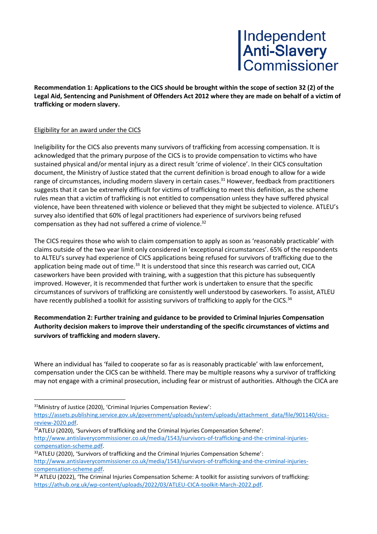**Recommendation 1: Applications to the CICS should be brought within the scope of section 32 (2) of the Legal Aid, Sentencing and Punishment of Offenders Act 2012 where they are made on behalf of a victim of trafficking or modern slavery.**

#### Eligibility for an award under the CICS

Ineligibility for the CICS also prevents many survivors of trafficking from accessing compensation. It is acknowledged that the primary purpose of the CICS is to provide compensation to victims who have sustained physical and/or mental injury as a direct result 'crime of violence'. In their CICS consultation document, the Ministry of Justice stated that the current definition is broad enough to allow for a wide range of circumstances, including modern slavery in certain cases.<sup>31</sup> However, feedback from practitioners suggests that it can be extremely difficult for victims of trafficking to meet this definition, as the scheme rules mean that a victim of trafficking is not entitled to compensation unless they have suffered physical violence, have been threatened with violence or believed that they might be subjected to violence. ATLEU's survey also identified that 60% of legal practitioners had experience of survivors being refused compensation as they had not suffered a crime of violence. 32

The CICS requires those who wish to claim compensation to apply as soon as 'reasonably practicable' with claims outside of the two year limit only considered in 'exceptional circumstances'. 65% of the respondents to ALTEU's survey had experience of CICS applications being refused for survivors of trafficking due to the application being made out of time.<sup>33</sup> It is understood that since this research was carried out, CICA caseworkers have been provided with training, with a suggestion that this picture has subsequently improved. However, it is recommended that further work is undertaken to ensure that the specific circumstances of survivors of trafficking are consistently well understood by caseworkers. To assist, ATLEU have recently published a toolkit for assisting survivors of trafficking to apply for the CICS.<sup>34</sup>

**Recommendation 2: Further training and guidance to be provided to Criminal Injuries Compensation Authority decision makers to improve their understanding of the specific circumstances of victims and survivors of trafficking and modern slavery.**

Where an individual has 'failed to cooperate so far as is reasonably practicable' with law enforcement, compensation under the CICS can be withheld. There may be multiple reasons why a survivor of trafficking may not engage with a criminal prosecution, including fear or mistrust of authorities. Although the CICA are

- <sup>32</sup>ATLEU (2020), 'Survivors of trafficking and the Criminal Injuries Compensation Scheme': [http://www.antislaverycommissioner.co.uk/media/1543/survivors-of-trafficking-and-the-criminal-injuries](http://www.antislaverycommissioner.co.uk/media/1543/survivors-of-trafficking-and-the-criminal-injuries-compensation-scheme.pdf)[compensation-scheme.pdf.](http://www.antislaverycommissioner.co.uk/media/1543/survivors-of-trafficking-and-the-criminal-injuries-compensation-scheme.pdf)
- <sup>33</sup>ATLEU (2020), 'Survivors of trafficking and the Criminal Injuries Compensation Scheme': [http://www.antislaverycommissioner.co.uk/media/1543/survivors-of-trafficking-and-the-criminal-injuries](http://www.antislaverycommissioner.co.uk/media/1543/survivors-of-trafficking-and-the-criminal-injuries-compensation-scheme.pdf)[compensation-scheme.pdf.](http://www.antislaverycommissioner.co.uk/media/1543/survivors-of-trafficking-and-the-criminal-injuries-compensation-scheme.pdf)

<sup>31</sup>Ministry of Justice (2020), 'Criminal Injuries Compensation Review':

[https://assets.publishing.service.gov.uk/government/uploads/system/uploads/attachment\\_data/file/901140/cics](https://assets.publishing.service.gov.uk/government/uploads/system/uploads/attachment_data/file/901140/cics-review-2020.pdf)[review-2020.pdf.](https://assets.publishing.service.gov.uk/government/uploads/system/uploads/attachment_data/file/901140/cics-review-2020.pdf)

<sup>&</sup>lt;sup>34</sup> ATLEU (2022), 'The Criminal Injuries Compensation Scheme: A toolkit for assisting survivors of trafficking: [https://athub.org.uk/wp-content/uploads/2022/03/ATLEU-CICA-toolkit-March-2022.pdf.](https://athub.org.uk/wp-content/uploads/2022/03/ATLEU-CICA-toolkit-March-2022.pdf)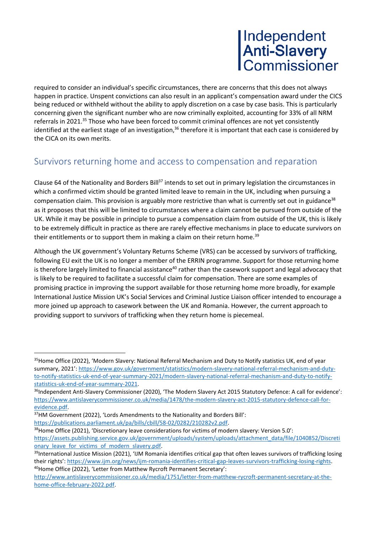required to consider an individual's specific circumstances, there are concerns that this does not always happen in practice. Unspent convictions can also result in an applicant's compensation award under the CICS being reduced or withheld without the ability to apply discretion on a case by case basis. This is particularly concerning given the significant number who are now criminally exploited, accounting for 33% of all NRM referrals in 2021.<sup>35</sup> Those who have been forced to commit criminal offences are not yet consistently identified at the earliest stage of an investigation,<sup>36</sup> therefore it is important that each case is considered by the CICA on its own merits.

### Survivors returning home and access to compensation and reparation

Clause 64 of the Nationality and Borders Bill<sup>37</sup> intends to set out in primary legislation the circumstances in which a confirmed victim should be granted limited leave to remain in the UK, including when pursuing a compensation claim. This provision is arguably more restrictive than what is currently set out in guidance<sup>38</sup> as it proposes that this will be limited to circumstances where a claim cannot be pursued from outside of the UK. While it may be possible in principle to pursue a compensation claim from outside of the UK, this is likely to be extremely difficult in practice as there are rarely effective mechanisms in place to educate survivors on their entitlements or to support them in making a claim on their return home.<sup>39</sup>

Although the UK government's Voluntary Returns Scheme (VRS) can be accessed by survivors of trafficking, following EU exit the UK is no longer a member of the ERRIN programme. Support for those returning home is therefore largely limited to financial assistance<sup>40</sup> rather than the casework support and legal advocacy that is likely to be required to facilitate a successful claim for compensation. There are some examples of promising practice in improving the support available for those returning home more broadly, for example International Justice Mission UK's Social Services and Criminal Justice Liaison officer intended to encourage a more joined up approach to casework between the UK and Romania. However, the current approach to providing support to survivors of trafficking when they return home is piecemeal.

<sup>35</sup> Home Office (2022), 'Modern Slavery: National Referral Mechanism and Duty to Notify statistics UK, end of year summary, 2021': [https://www.gov.uk/government/statistics/modern-slavery-national-referral-mechanism-and-duty](https://www.gov.uk/government/statistics/modern-slavery-national-referral-mechanism-and-duty-to-notify-statistics-uk-end-of-year-summary-2021/modern-slavery-national-referral-mechanism-and-duty-to-notify-statistics-uk-end-of-year-summary-2021)[to-notify-statistics-uk-end-of-year-summary-2021/modern-slavery-national-referral-mechanism-and-duty-to-notify](https://www.gov.uk/government/statistics/modern-slavery-national-referral-mechanism-and-duty-to-notify-statistics-uk-end-of-year-summary-2021/modern-slavery-national-referral-mechanism-and-duty-to-notify-statistics-uk-end-of-year-summary-2021)[statistics-uk-end-of-year-summary-2021.](https://www.gov.uk/government/statistics/modern-slavery-national-referral-mechanism-and-duty-to-notify-statistics-uk-end-of-year-summary-2021/modern-slavery-national-referral-mechanism-and-duty-to-notify-statistics-uk-end-of-year-summary-2021) 

<sup>&</sup>lt;sup>36</sup>Independent Anti-Slavery Commissioner (2020), 'The Modern Slavery Act 2015 Statutory Defence: A call for evidence': [https://www.antislaverycommissioner.co.uk/media/1478/the-modern-slavery-act-2015-statutory-defence-call-for](https://www.antislaverycommissioner.co.uk/media/1478/the-modern-slavery-act-2015-statutory-defence-call-for-evidence.pdf)[evidence.pdf.](https://www.antislaverycommissioner.co.uk/media/1478/the-modern-slavery-act-2015-statutory-defence-call-for-evidence.pdf)

<sup>37</sup>HM Government (2022), 'Lords Amendments to the Nationality and Borders Bill':

[https://publications.parliament.uk/pa/bills/cbill/58-02/0282/210282v2.pdf.](https://publications.parliament.uk/pa/bills/cbill/58-02/0282/210282v2.pdf)

<sup>38</sup>Home Office (2021), 'Discretionary leave considerations for victims of modern slavery: Version 5.0': [https://assets.publishing.service.gov.uk/government/uploads/system/uploads/attachment\\_data/file/1040852/Discreti](https://assets.publishing.service.gov.uk/government/uploads/system/uploads/attachment_data/file/1040852/Discretionary_leave_for_victims_of_modern_slavery.pdf) [onary\\_leave\\_for\\_victims\\_of\\_modern\\_slavery.pdf.](https://assets.publishing.service.gov.uk/government/uploads/system/uploads/attachment_data/file/1040852/Discretionary_leave_for_victims_of_modern_slavery.pdf)

<sup>&</sup>lt;sup>39</sup>International Justice Mission (2021), 'IJM Romania identifies critical gap that often leaves survivors of trafficking losing their rights': [https://www.ijm.org/news/ijm-romania-identifies-critical-gap-leaves-survivors-trafficking-losing-rights.](https://www.ijm.org/news/ijm-romania-identifies-critical-gap-leaves-survivors-trafficking-losing-rights) <sup>40</sup>Home Office (2022), 'Letter from Matthew Rycroft Permanent Secretary':

[http://www.antislaverycommissioner.co.uk/media/1751/letter-from-matthew-rycroft-permanent-secretary-at-the](http://www.antislaverycommissioner.co.uk/media/1751/letter-from-matthew-rycroft-permanent-secretary-at-the-home-office-february-2022.pdf)[home-office-february-2022.pdf.](http://www.antislaverycommissioner.co.uk/media/1751/letter-from-matthew-rycroft-permanent-secretary-at-the-home-office-february-2022.pdf)